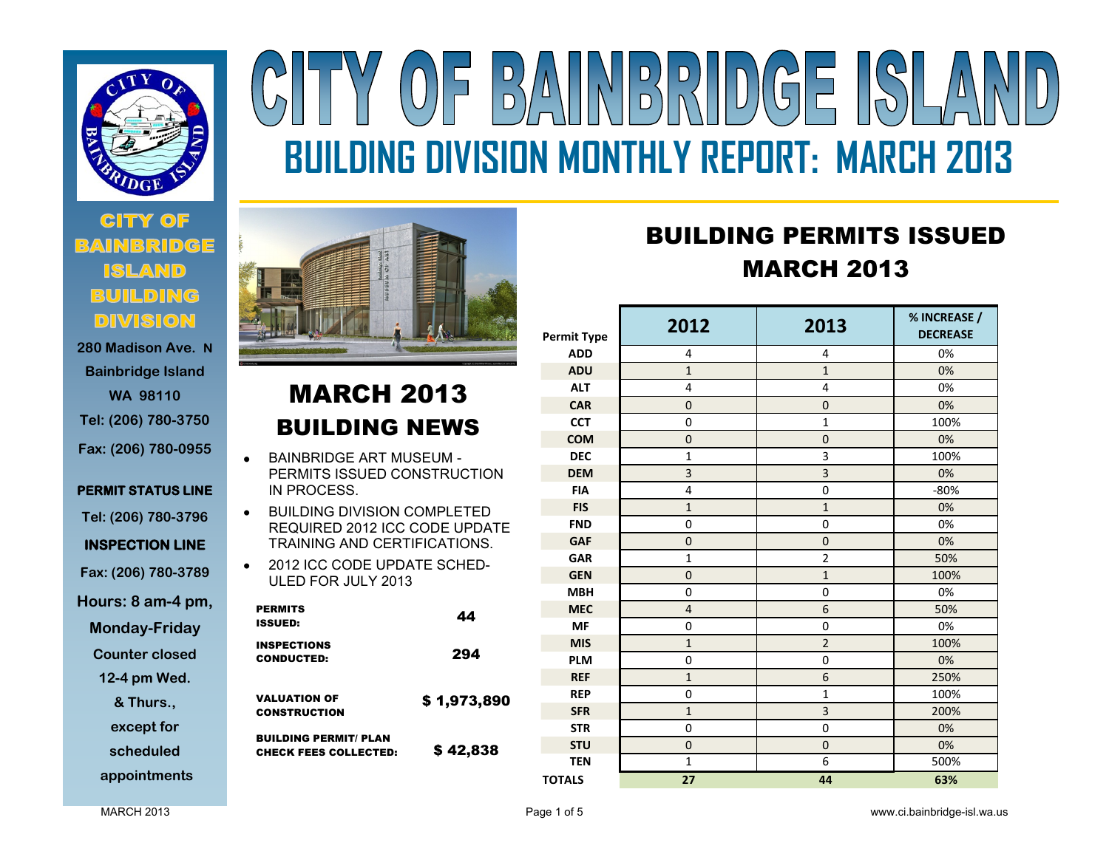

# **CITY OF BUILDING DIVISION**

**280 Madison Ave. N Bainbridge Island WA 98110 Tel: (206) 780-3750 Fax: (206) 780-0955** 

**PERMIT STATUS LINE** 

**Tel: (206) 780-3796**

**INSPECTION LINE** 

**Fax: (206) 780-3789**

**Hours: 8 am-4 pm,** 

**Monday-Friday** 

**Counter closed** 

**12-4 pm Wed.** 

**& Thurs.,** 

**except for** 

**scheduled** 

**appointments**

# BAINBRIDGE  $(0)$ F **BUILDING DIVISION MONTHLY REPORT: MARCH 2013**

# MARCH 2013 BUILDING NEWS

- BAINBRIDGE ART MUSEUM  $\bullet$ PERMITS ISSUED CONSTRUCTION IN PROCESS.
- BUILDING DIVISION COMPLETED  $\bullet$ REQUIRED 2012 ICC CODE UPDATE TRAINING AND CERTIFICATIONS.
- 2012 ICC CODE UPDATE SCHED-ULED FOR JULY 2013

| <b>PERMITS</b><br>ISSUED:                                    | 44          |
|--------------------------------------------------------------|-------------|
| <b>INSPECTIONS</b><br><b>CONDUCTED:</b>                      | 294         |
| <b>VALUATION OF</b><br><b>CONSTRUCTION</b>                   | \$1,973,890 |
| <b>BUILDING PERMIT/ PLAN</b><br><b>CHECK FEES COLLECTED:</b> | \$42,838    |

# BUILDING PERMITS ISSUED MARCH 2013

| DUILDINU FI<br>- 1<br>I 9 I 99 DE L<br><b>MARCH 2013</b> |                |                |                                 |  |
|----------------------------------------------------------|----------------|----------------|---------------------------------|--|
| <b>Permit Type</b>                                       | 2012           | 2013           | % INCREASE /<br><b>DECREASE</b> |  |
| <b>ADD</b>                                               | 4              | 4              | 0%                              |  |
| <b>ADU</b>                                               | $\mathbf{1}$   | $\mathbf{1}$   | 0%                              |  |
| <b>ALT</b>                                               | 4              | 4              | 0%                              |  |
| <b>CAR</b>                                               | $\mathbf 0$    | $\mathbf 0$    | 0%                              |  |
| <b>CCT</b>                                               | $\overline{0}$ | $\mathbf{1}$   | 100%                            |  |
| <b>COM</b>                                               | $\overline{0}$ | $\mathbf 0$    | 0%                              |  |
| <b>DEC</b>                                               | $\mathbf{1}$   | 3              | 100%                            |  |
| <b>DEM</b>                                               | 3              | 3              | 0%                              |  |
| <b>FIA</b>                                               | $\overline{4}$ | $\mathbf 0$    | $-80%$                          |  |
| <b>FIS</b>                                               | $\mathbf{1}$   | $\mathbf{1}$   | 0%                              |  |
| <b>FND</b>                                               | $\overline{0}$ | 0              | 0%                              |  |
| <b>GAF</b>                                               | $\mathbf 0$    | $\mathbf 0$    | 0%                              |  |
| <b>GAR</b>                                               | $\mathbf{1}$   | $\overline{2}$ | 50%                             |  |
| <b>GEN</b>                                               | $\mathbf 0$    | $\mathbf{1}$   | 100%                            |  |
| <b>MBH</b>                                               | 0              | 0              | 0%                              |  |
| <b>MEC</b>                                               | $\overline{4}$ | 6              | 50%                             |  |
| <b>MF</b>                                                | $\overline{0}$ | 0              | 0%                              |  |
| <b>MIS</b>                                               | $\mathbf{1}$   | $\overline{2}$ | 100%                            |  |
| <b>PLM</b>                                               | 0              | $\mathbf 0$    | 0%                              |  |
| <b>REF</b>                                               | $\mathbf{1}$   | 6              | 250%                            |  |
| <b>REP</b>                                               | 0              | $\mathbf{1}$   | 100%                            |  |
| <b>SFR</b>                                               | $\mathbf{1}$   | 3              | 200%                            |  |
| <b>STR</b>                                               | 0              | 0              | 0%                              |  |
| <b>STU</b>                                               | $\mathbf 0$    | $\mathbf 0$    | 0%                              |  |
| <b>TEN</b>                                               | $\mathbf 1$    | 6              | 500%                            |  |
| <b>TOTALS</b>                                            | 27             | 44             | 63%                             |  |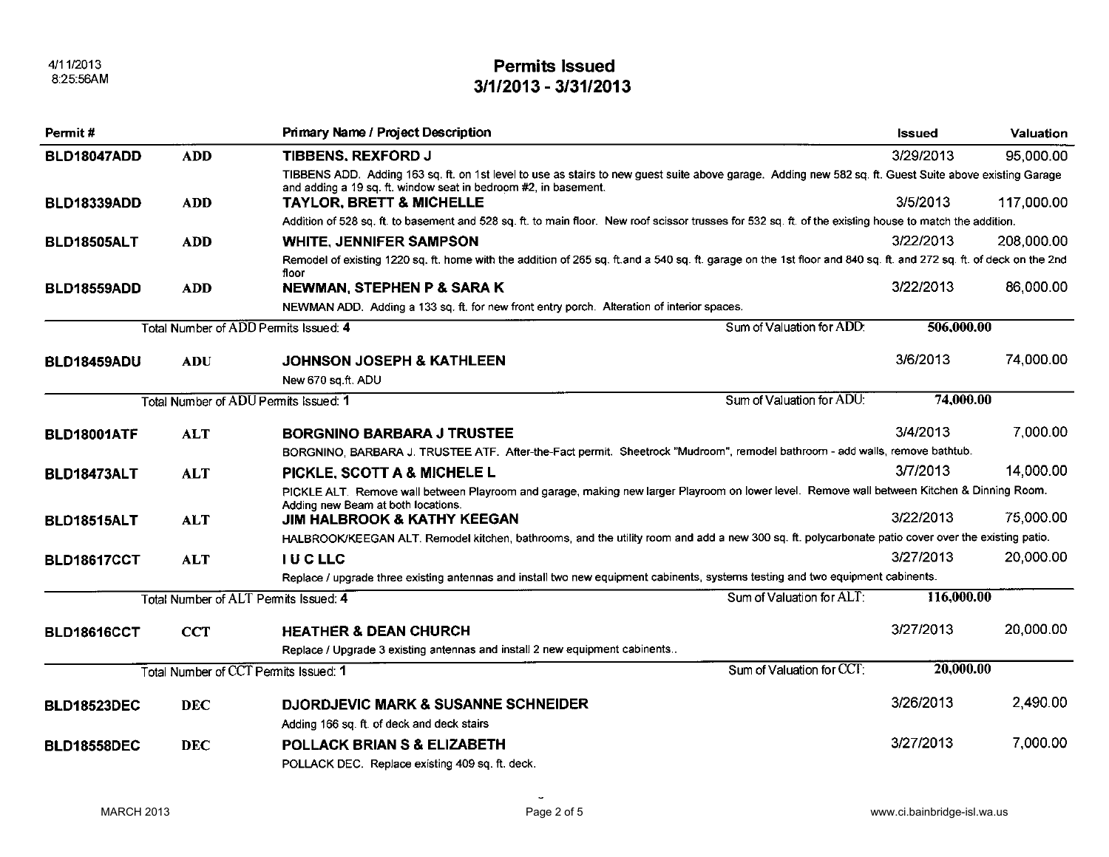4/11/2013  $8:25:56AM$ 

#### **Permits Issued** 3/1/2013 - 3/31/2013

| Permit #                              |            | <b>Primary Name / Project Description</b>                                                                                                                                                                                  |                           | <b>Issued</b> | <b>Valuation</b> |  |
|---------------------------------------|------------|----------------------------------------------------------------------------------------------------------------------------------------------------------------------------------------------------------------------------|---------------------------|---------------|------------------|--|
| BLD18047ADD                           | <b>ADD</b> | <b>TIBBENS, REXFORD J</b>                                                                                                                                                                                                  |                           | 3/29/2013     | 95,000.00        |  |
|                                       |            | TIBBENS ADD. Adding 163 sq. ft. on 1st level to use as stairs to new guest suite above garage. Adding new 582 sq. ft. Guest Suite above existing Garage<br>and adding a 19 sq. ft. window seat in bedroom #2, in basement. |                           |               |                  |  |
| BLD18339ADD                           | <b>ADD</b> | <b>TAYLOR, BRETT &amp; MICHELLE</b>                                                                                                                                                                                        |                           | 3/5/2013      | 117,000.00       |  |
|                                       |            | Addition of 528 sq. ft. to basement and 528 sq. ft. to main floor. New roof scissor trusses for 532 sq. ft. of the existing house to match the addition.                                                                   |                           |               |                  |  |
| BLD18505ALT                           | <b>ADD</b> | <b>WHITE, JENNIFER SAMPSON</b>                                                                                                                                                                                             |                           | 3/22/2013     | 208,000.00       |  |
|                                       |            | Remodel of existing 1220 sq. ft. home with the addition of 265 sq. ft.and a 540 sq. ft. garage on the 1st floor and 840 sq. ft. and 272 sq. ft. of deck on the 2nd<br>floor                                                |                           |               |                  |  |
| BLD18559ADD                           | <b>ADD</b> | NEWMAN, STEPHEN P & SARA K                                                                                                                                                                                                 |                           | 3/22/2013     | 86,000.00        |  |
|                                       |            | NEWMAN ADD. Adding a 133 sq. ft. for new front entry porch. Alteration of interior spaces.                                                                                                                                 |                           |               |                  |  |
|                                       |            | Total Number of ADD Permits Issued: 4                                                                                                                                                                                      | Sum of Valuation for ADD. | 506,000.00    |                  |  |
| BLD18459ADU                           | <b>ADU</b> | <b>JOHNSON JOSEPH &amp; KATHLEEN</b>                                                                                                                                                                                       |                           | 3/6/2013      | 74,000.00        |  |
|                                       |            | New 670 sq.ft. ADU                                                                                                                                                                                                         |                           |               |                  |  |
|                                       |            | Total Number of ADU Permits Issued: 1                                                                                                                                                                                      | Sum of Valuation for ADU: |               | 74,000.00        |  |
| <b>BLD18001ATF</b>                    | <b>ALT</b> | <b>BORGNINO BARBARA J TRUSTEE</b>                                                                                                                                                                                          |                           | 3/4/2013      | 7,000.00         |  |
|                                       |            | BORGNINO, BARBARA J. TRUSTEE ATF. After-the-Fact permit. Sheetrock "Mudroom", remodel bathroom - add walls, remove bathtub.                                                                                                |                           |               |                  |  |
| BLD18473ALT                           | <b>ALT</b> | PICKLE, SCOTT A & MICHELE L                                                                                                                                                                                                |                           | 3/7/2013      | 14,000.00        |  |
|                                       |            | PICKLE ALT. Remove wall between Playroom and garage, making new larger Playroom on lower level. Remove wall between Kitchen & Dinning Room.                                                                                |                           |               |                  |  |
| <b>BLD18515ALT</b>                    | <b>ALT</b> | Adding new Beam at both locations.<br><b>JIM HALBROOK &amp; KATHY KEEGAN</b>                                                                                                                                               |                           | 3/22/2013     | 75,000.00        |  |
|                                       |            | HALBROOK/KEEGAN ALT. Remodel kitchen, bathrooms, and the utility room and add a new 300 sq. ft. polycarbonate patio cover over the existing patio.                                                                         |                           |               |                  |  |
| <b>BLD18617CCT</b>                    | <b>ALT</b> | <b>IUCLLC</b>                                                                                                                                                                                                              |                           | 3/27/2013     | 20,000.00        |  |
|                                       |            | Replace / upgrade three existing antennas and install two new equipment cabinents, systems testing and two equipment cabinents.                                                                                            |                           |               |                  |  |
| Total Number of ALT Permits Issued: 4 |            | Sum of Valuation for ALT:                                                                                                                                                                                                  | 116,000.00                |               |                  |  |
| <b>BLD18616CCT</b>                    | <b>CCT</b> | <b>HEATHER &amp; DEAN CHURCH</b>                                                                                                                                                                                           |                           | 3/27/2013     | 20,000.00        |  |
|                                       |            | Replace / Upgrade 3 existing antennas and install 2 new equipment cabinents                                                                                                                                                |                           |               |                  |  |
|                                       |            | Total Number of CCT Permits Issued: 1                                                                                                                                                                                      | Sum of Valuation for CCT: | 20,000.00     |                  |  |
| <b>BLD18523DEC</b>                    | <b>DEC</b> | <b>DJORDJEVIC MARK &amp; SUSANNE SCHNEIDER</b>                                                                                                                                                                             |                           | 3/26/2013     | 2,490.00         |  |
|                                       |            | Adding 166 sq. ft. of deck and deck stairs                                                                                                                                                                                 |                           |               |                  |  |
| <b>BLD18558DEC</b>                    | <b>DEC</b> | <b>POLLACK BRIAN S &amp; ELIZABETH</b>                                                                                                                                                                                     |                           | 3/27/2013     | 7,000.00         |  |
|                                       |            | POLLACK DEC. Replace existing 409 sq. ft. deck.                                                                                                                                                                            |                           |               |                  |  |

 $\tilde{\phantom{a}}$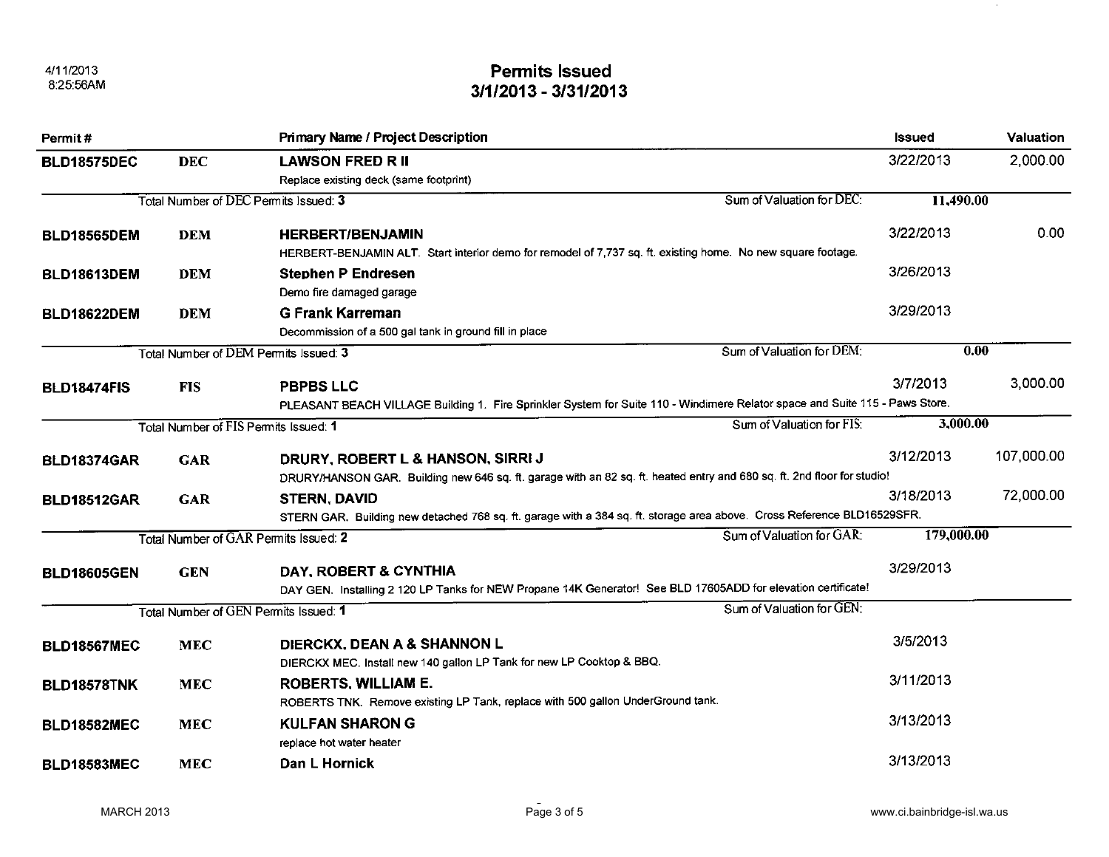## **Permits Issued** 3/1/2013 - 3/31/2013

| Permit#                                                            |                                       | <b>Primary Name / Project Description</b>                                                                                                                    | <b>Issued</b> | Valuation  |
|--------------------------------------------------------------------|---------------------------------------|--------------------------------------------------------------------------------------------------------------------------------------------------------------|---------------|------------|
| <b>BLD18575DEC</b>                                                 | <b>DEC</b>                            | <b>LAWSON FRED R II</b>                                                                                                                                      | 3/22/2013     | 2,000.00   |
|                                                                    |                                       | Replace existing deck (same footprint)                                                                                                                       |               |            |
| Sum of Valuation for DEC:<br>Total Number of DEC Permits Issued: 3 |                                       | 11,490.00                                                                                                                                                    |               |            |
| <b>BLD18565DEM</b>                                                 | <b>DEM</b>                            | <b>HERBERT/BENJAMIN</b><br>HERBERT-BENJAMIN ALT. Start interior demo for remodel of 7,737 sq. ft. existing home. No new square footage.                      | 3/22/2013     | 0.00       |
| <b>BLD18613DEM</b>                                                 | <b>DEM</b>                            | <b>Stephen P Endresen</b><br>Demo fire damaged garage                                                                                                        | 3/26/2013     |            |
| <b>BLD18622DEM</b>                                                 | <b>DEM</b>                            | <b>G Frank Karreman</b><br>Decommission of a 500 gal tank in ground fill in place                                                                            | 3/29/2013     |            |
|                                                                    |                                       | Sum of Valuation for DEM:<br>Total Number of DEM Permits Issued: 3                                                                                           |               | 0.00       |
| <b>BLD18474FIS</b>                                                 | <b>FIS</b>                            | <b>PBPBS LLC</b><br>PLEASANT BEACH VILLAGE Building 1. Fire Sprinkler System for Suite 110 - Windimere Relator space and Suite 115 - Paws Store.             | 3/7/2013      | 3,000.00   |
|                                                                    | Total Number of FIS Permits Issued: 1 | Sum of Valuation for FIS:                                                                                                                                    | 3,000.00      |            |
| BLD18374GAR                                                        | <b>GAR</b>                            | DRURY, ROBERT L & HANSON, SIRRI J<br>DRURY/HANSON GAR. Building new 646 sq. ft. garage with an 82 sq. ft. heated entry and 680 sq. ft. 2nd floor for studio! | 3/12/2013     | 107,000.00 |
| <b>BLD18512GAR</b>                                                 | <b>GAR</b>                            | <b>STERN, DAVID</b><br>STERN GAR. Building new detached 768 sq. ft. garage with a 384 sq. ft. storage area above. Cross Reference BLD16529SFR.               | 3/18/2013     | 72,000.00  |
|                                                                    |                                       | Sum of Valuation for GAR:<br>Total Number of GAR Permits Issued: 2                                                                                           | 179,000.00    |            |
| <b>BLD18605GEN</b>                                                 | <b>GEN</b>                            | DAY, ROBERT & CYNTHIA<br>DAY GEN. Installing 2 120 LP Tanks for NEW Propane 14K Generator! See BLD 17605ADD for elevation certificate!                       | 3/29/2013     |            |
|                                                                    |                                       | Sum of Valuation for GEN:<br>Total Number of GEN Permits Issued: 1                                                                                           |               |            |
| <b>BLD18567MEC</b>                                                 | <b>MEC</b>                            | DIERCKX, DEAN A & SHANNON L<br>DIERCKX MEC. Install new 140 gallon LP Tank for new LP Cooktop & BBQ.                                                         | 3/5/2013      |            |
| BLD18578TNK                                                        | <b>MEC</b>                            | <b>ROBERTS, WILLIAM E.</b><br>ROBERTS TNK. Remove existing LP Tank, replace with 500 gallon UnderGround tank.                                                | 3/11/2013     |            |
| <b>BLD18582MEC</b>                                                 | <b>MEC</b>                            | <b>KULFAN SHARON G</b><br>replace hot water heater                                                                                                           | 3/13/2013     |            |
| <b>BLD18583MEC</b>                                                 | <b>MEC</b>                            | Dan L Hornick                                                                                                                                                | 3/13/2013     |            |

 $\sim 0.1$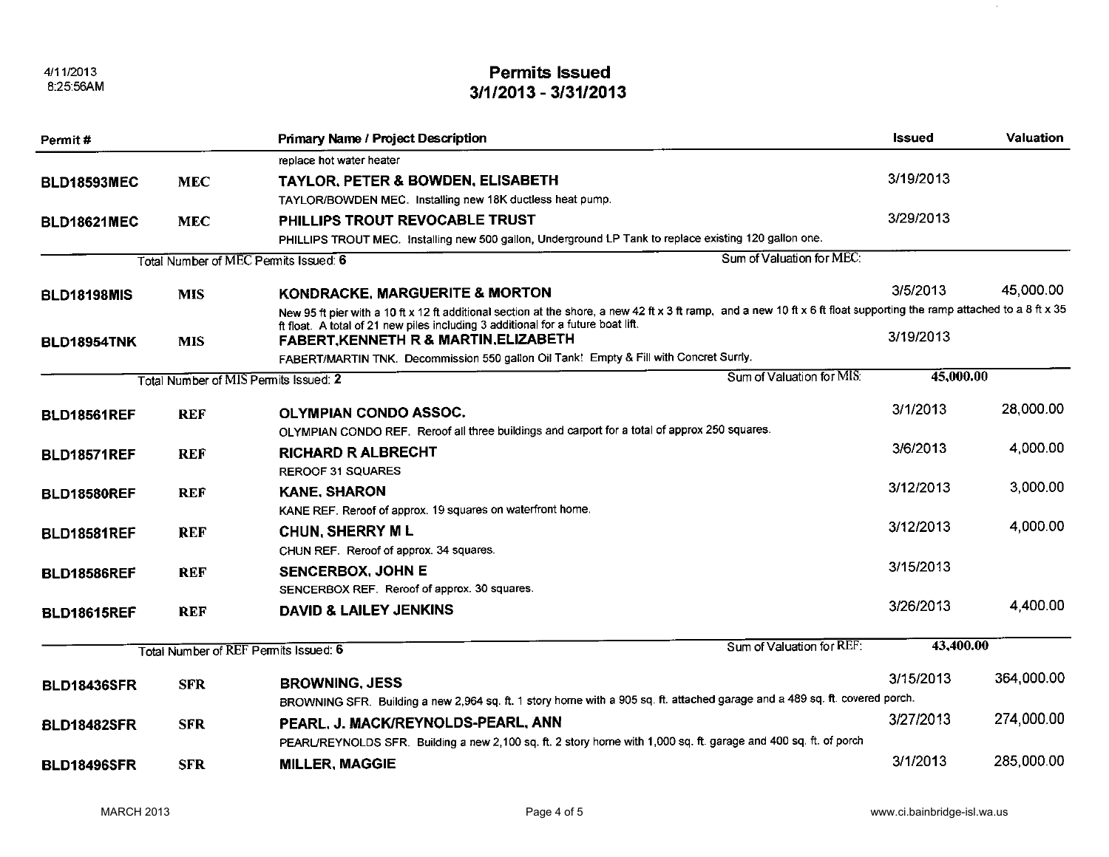4/11/2013 8:25:56AM

## **Permits Issued** 3/1/2013 - 3/31/2013

| Permit#                                                                                                                     |            | <b>Primary Name / Project Description</b>                                                                                                                              | <b>Issued</b> | <b>Valuation</b> |
|-----------------------------------------------------------------------------------------------------------------------------|------------|------------------------------------------------------------------------------------------------------------------------------------------------------------------------|---------------|------------------|
|                                                                                                                             |            | replace hot water heater                                                                                                                                               |               |                  |
| <b>BLD18593MEC</b>                                                                                                          | <b>MEC</b> | <b>TAYLOR, PETER &amp; BOWDEN, ELISABETH</b>                                                                                                                           | 3/19/2013     |                  |
|                                                                                                                             |            | TAYLOR/BOWDEN MEC. Installing new 18K ductless heat pump.                                                                                                              |               |                  |
| <b>BLD18621MEC</b>                                                                                                          | <b>MEC</b> | PHILLIPS TROUT REVOCABLE TRUST                                                                                                                                         | 3/29/2013     |                  |
|                                                                                                                             |            | PHILLIPS TROUT MEC. Installing new 500 gallon, Underground LP Tank to replace existing 120 gallon one.                                                                 |               |                  |
|                                                                                                                             |            | Sum of Valuation for MEC:<br>Total Number of MEC Permits Issued: 6                                                                                                     |               |                  |
| <b>BLD18198MIS</b>                                                                                                          | <b>MIS</b> | KONDRACKE, MARGUERITE & MORTON                                                                                                                                         | 3/5/2013      | 45,000.00        |
|                                                                                                                             |            | New 95 ft pier with a 10 ft x 12 ft additional section at the shore, a new 42 ft x 3 ft ramp, and a new 10 ft x 6 ft float supporting the ramp attached to a 8 ft x 35 |               |                  |
|                                                                                                                             | <b>MIS</b> | ft float. A total of 21 new piles including 3 additional for a future boat lift.<br><b>FABERT, KENNETH R &amp; MARTIN, ELIZABETH</b>                                   | 3/19/2013     |                  |
| BLD18954TNK                                                                                                                 |            | FABERT/MARTIN TNK. Decommission 550 gallon Oil Tank! Empty & Fill with Concret Surrly.                                                                                 |               |                  |
|                                                                                                                             |            | Sum of Valuation for MIS:<br>Total Number of MIS Permits Issued: 2                                                                                                     | 45,000.00     |                  |
|                                                                                                                             |            |                                                                                                                                                                        |               |                  |
| <b>BLD18561REF</b>                                                                                                          | <b>REF</b> | <b>OLYMPIAN CONDO ASSOC.</b>                                                                                                                                           | 3/1/2013      | 28,000.00        |
|                                                                                                                             |            | OLYMPIAN CONDO REF. Reroof all three buildings and carport for a total of approx 250 squares.                                                                          |               |                  |
| <b>BLD18571REF</b>                                                                                                          | <b>REF</b> | <b>RICHARD R ALBRECHT</b>                                                                                                                                              | 3/6/2013      | 4,000.00         |
|                                                                                                                             |            | <b>REROOF 31 SQUARES</b>                                                                                                                                               |               |                  |
| <b>BLD18580REF</b>                                                                                                          | <b>REF</b> | <b>KANE, SHARON</b>                                                                                                                                                    | 3/12/2013     | 3,000.00         |
|                                                                                                                             |            | KANE REF. Reroof of approx. 19 squares on waterfront home.                                                                                                             |               |                  |
| <b>BLD18581REF</b>                                                                                                          | <b>REF</b> | <b>CHUN, SHERRY ML</b>                                                                                                                                                 | 3/12/2013     | 4,000.00         |
|                                                                                                                             |            | CHUN REF. Reroof of approx. 34 squares.                                                                                                                                |               |                  |
| <b>BLD18586REF</b>                                                                                                          | <b>REF</b> | <b>SENCERBOX, JOHN E</b>                                                                                                                                               | 3/15/2013     |                  |
|                                                                                                                             |            | SENCERBOX REF. Reroof of approx. 30 squares.                                                                                                                           |               |                  |
| <b>BLD18615REF</b>                                                                                                          | <b>REF</b> | <b>DAVID &amp; LAILEY JENKINS</b>                                                                                                                                      | 3/26/2013     | 4,400.00         |
|                                                                                                                             |            | Sum of Valuation for REF:<br>Total Number of REF Permits Issued: 6                                                                                                     | 43,400.00     |                  |
|                                                                                                                             |            |                                                                                                                                                                        |               |                  |
| <b>BLD18436SFR</b>                                                                                                          | <b>SFR</b> | <b>BROWNING, JESS</b>                                                                                                                                                  | 3/15/2013     | 364,000.00       |
| BROWNING SFR. Building a new 2,964 sq. ft. 1 story home with a 905 sq. ft. attached garage and a 489 sq. ft. covered porch. |            |                                                                                                                                                                        |               |                  |
| <b>BLD18482SFR</b>                                                                                                          | <b>SFR</b> | PEARL, J. MACK/REYNOLDS-PEARL, ANN                                                                                                                                     | 3/27/2013     | 274,000.00       |
|                                                                                                                             |            | PEARL/REYNOLDS SFR. Building a new 2,100 sq. ft. 2 story home with 1,000 sq. ft. garage and 400 sq. ft. of porch                                                       |               |                  |
| <b>BLD18496SFR</b>                                                                                                          | <b>SFR</b> | <b>MILLER, MAGGIE</b>                                                                                                                                                  | 3/1/2013      | 285,000.00       |

 $\sim$